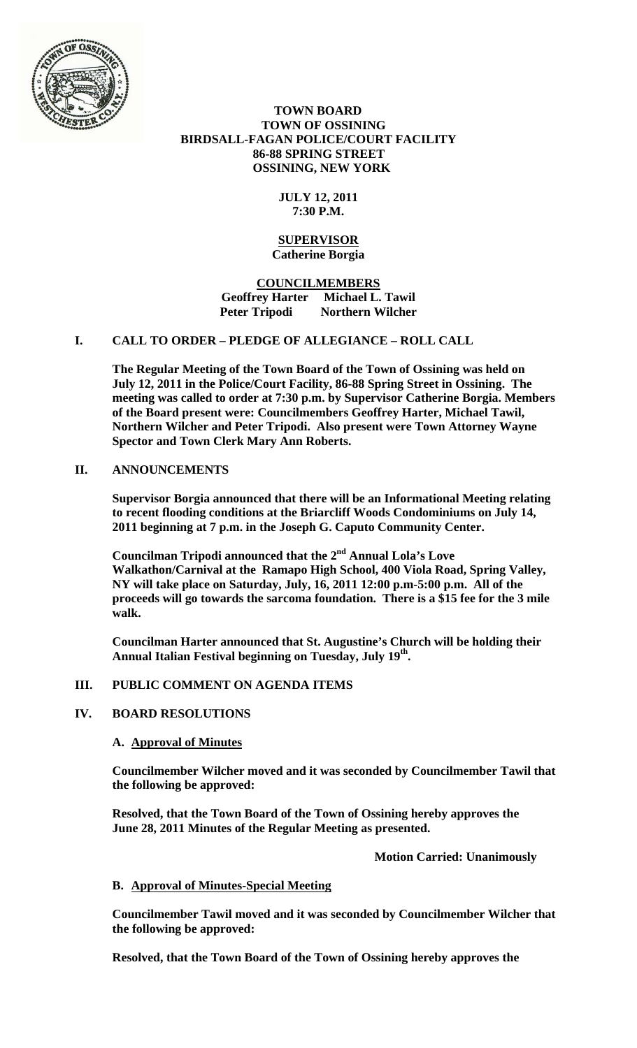

### **TOWN BOARD TOWN OF OSSINING BIRDSALL-FAGAN POLICE/COURT FACILITY 86-88 SPRING STREET OSSINING, NEW YORK**

## **JULY 12, 2011 7:30 P.M.**

#### **SUPERVISOR Catherine Borgia**

## **COUNCILMEMBERS Geoffrey Harter Michael L. Tawil Northern Wilcher**

## **I. CALL TO ORDER – PLEDGE OF ALLEGIANCE – ROLL CALL**

**The Regular Meeting of the Town Board of the Town of Ossining was held on July 12, 2011 in the Police/Court Facility, 86-88 Spring Street in Ossining. The meeting was called to order at 7:30 p.m. by Supervisor Catherine Borgia. Members of the Board present were: Councilmembers Geoffrey Harter, Michael Tawil, Northern Wilcher and Peter Tripodi. Also present were Town Attorney Wayne Spector and Town Clerk Mary Ann Roberts.** 

## **II. ANNOUNCEMENTS**

**Supervisor Borgia announced that there will be an Informational Meeting relating to recent flooding conditions at the Briarcliff Woods Condominiums on July 14, 2011 beginning at 7 p.m. in the Joseph G. Caputo Community Center.** 

**Councilman Tripodi announced that the 2nd Annual Lola's Love Walkathon/Carnival at the Ramapo High School, 400 Viola Road, Spring Valley, NY will take place on Saturday, July, 16, 2011 12:00 p.m-5:00 p.m. All of the proceeds will go towards the sarcoma foundation. There is a \$15 fee for the 3 mile walk.** 

**Councilman Harter announced that St. Augustine's Church will be holding their Annual Italian Festival beginning on Tuesday, July 19th.** 

## **III. PUBLIC COMMENT ON AGENDA ITEMS**

## **IV. BOARD RESOLUTIONS**

#### **A. Approval of Minutes**

**Councilmember Wilcher moved and it was seconded by Councilmember Tawil that the following be approved:** 

**Resolved, that the Town Board of the Town of Ossining hereby approves the June 28, 2011 Minutes of the Regular Meeting as presented.** 

 **Motion Carried: Unanimously** 

#### **B. Approval of Minutes-Special Meeting**

**Councilmember Tawil moved and it was seconded by Councilmember Wilcher that the following be approved:** 

**Resolved, that the Town Board of the Town of Ossining hereby approves the**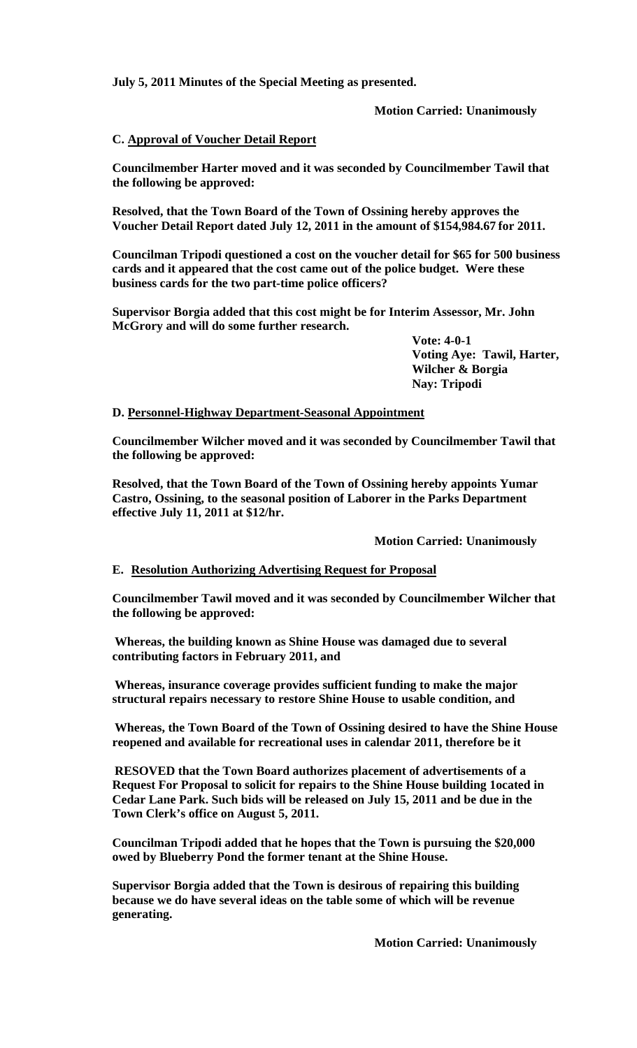**July 5, 2011 Minutes of the Special Meeting as presented.** 

 **Motion Carried: Unanimously** 

## **C. Approval of Voucher Detail Report**

**Councilmember Harter moved and it was seconded by Councilmember Tawil that the following be approved:** 

**Resolved, that the Town Board of the Town of Ossining hereby approves the Voucher Detail Report dated July 12, 2011 in the amount of \$154,984.67 for 2011.** 

**Councilman Tripodi questioned a cost on the voucher detail for \$65 for 500 business cards and it appeared that the cost came out of the police budget. Were these business cards for the two part-time police officers?** 

**Supervisor Borgia added that this cost might be for Interim Assessor, Mr. John McGrory and will do some further research.** 

> **Vote: 4-0-1 Voting Aye: Tawil, Harter, Wilcher & Borgia Nay: Tripodi**

#### **D. Personnel-Highway Department-Seasonal Appointment**

**Councilmember Wilcher moved and it was seconded by Councilmember Tawil that the following be approved:** 

**Resolved, that the Town Board of the Town of Ossining hereby appoints Yumar Castro, Ossining, to the seasonal position of Laborer in the Parks Department effective July 11, 2011 at \$12/hr.** 

## **Motion Carried: Unanimously**

## **E. Resolution Authorizing Advertising Request for Proposal**

**Councilmember Tawil moved and it was seconded by Councilmember Wilcher that the following be approved:** 

**Whereas, the building known as Shine House was damaged due to several contributing factors in February 2011, and** 

**Whereas, insurance coverage provides sufficient funding to make the major structural repairs necessary to restore Shine House to usable condition, and** 

**Whereas, the Town Board of the Town of Ossining desired to have the Shine House reopened and available for recreational uses in calendar 2011, therefore be it** 

**RESOVED that the Town Board authorizes placement of advertisements of a Request For Proposal to solicit for repairs to the Shine House building 1ocated in Cedar Lane Park. Such bids will be released on July 15, 2011 and be due in the Town Clerk's office on August 5, 2011.** 

**Councilman Tripodi added that he hopes that the Town is pursuing the \$20,000 owed by Blueberry Pond the former tenant at the Shine House.** 

**Supervisor Borgia added that the Town is desirous of repairing this building because we do have several ideas on the table some of which will be revenue generating.** 

 **Motion Carried: Unanimously**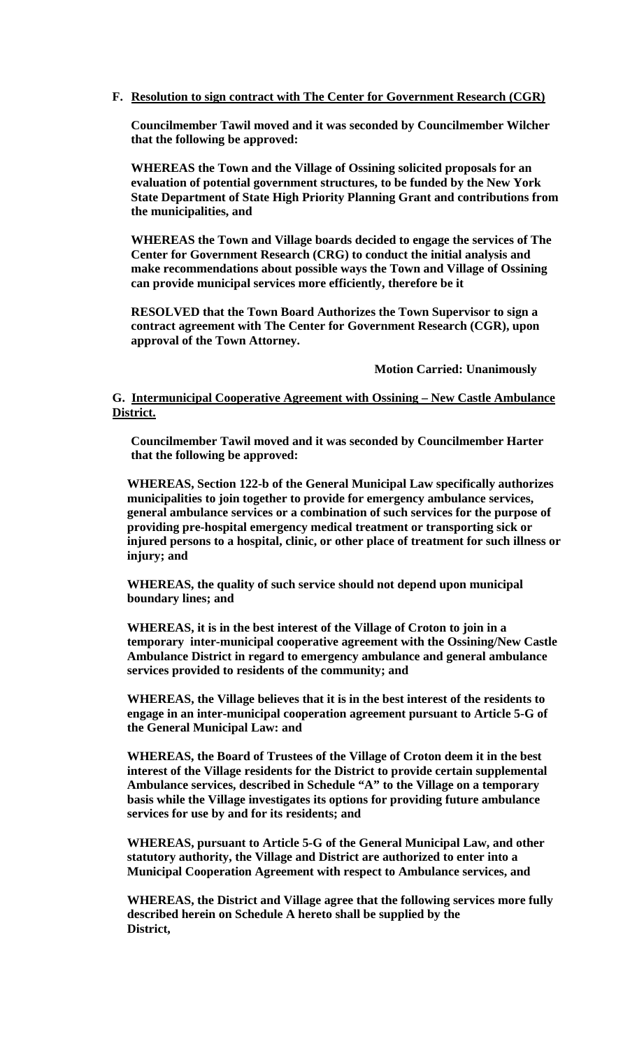### **F. Resolution to sign contract with The Center for Government Research (CGR)**

**Councilmember Tawil moved and it was seconded by Councilmember Wilcher that the following be approved:** 

**WHEREAS the Town and the Village of Ossining solicited proposals for an evaluation of potential government structures, to be funded by the New York State Department of State High Priority Planning Grant and contributions from the municipalities, and** 

**WHEREAS the Town and Village boards decided to engage the services of The Center for Government Research (CRG) to conduct the initial analysis and make recommendations about possible ways the Town and Village of Ossining can provide municipal services more efficiently, therefore be it** 

**RESOLVED that the Town Board Authorizes the Town Supervisor to sign a contract agreement with The Center for Government Research (CGR), upon approval of the Town Attorney.** 

 **Motion Carried: Unanimously** 

#### **G. Intermunicipal Cooperative Agreement with Ossining – New Castle Ambulance District.**

**Councilmember Tawil moved and it was seconded by Councilmember Harter that the following be approved:** 

**WHEREAS, Section 122-b of the General Municipal Law specifically authorizes municipalities to join together to provide for emergency ambulance services, general ambulance services or a combination of such services for the purpose of providing pre-hospital emergency medical treatment or transporting sick or injured persons to a hospital, clinic, or other place of treatment for such illness or injury; and** 

**WHEREAS, the quality of such service should not depend upon municipal boundary lines; and** 

**WHEREAS, it is in the best interest of the Village of Croton to join in a temporary inter-municipal cooperative agreement with the Ossining/New Castle Ambulance District in regard to emergency ambulance and general ambulance services provided to residents of the community; and** 

**WHEREAS, the Village believes that it is in the best interest of the residents to engage in an inter-municipal cooperation agreement pursuant to Article 5-G of the General Municipal Law: and** 

**WHEREAS, the Board of Trustees of the Village of Croton deem it in the best interest of the Village residents for the District to provide certain supplemental Ambulance services, described in Schedule "A" to the Village on a temporary basis while the Village investigates its options for providing future ambulance services for use by and for its residents; and** 

**WHEREAS, pursuant to Article 5-G of the General Municipal Law, and other statutory authority, the Village and District are authorized to enter into a Municipal Cooperation Agreement with respect to Ambulance services, and** 

**WHEREAS, the District and Village agree that the following services more fully described herein on Schedule A hereto shall be supplied by the District,**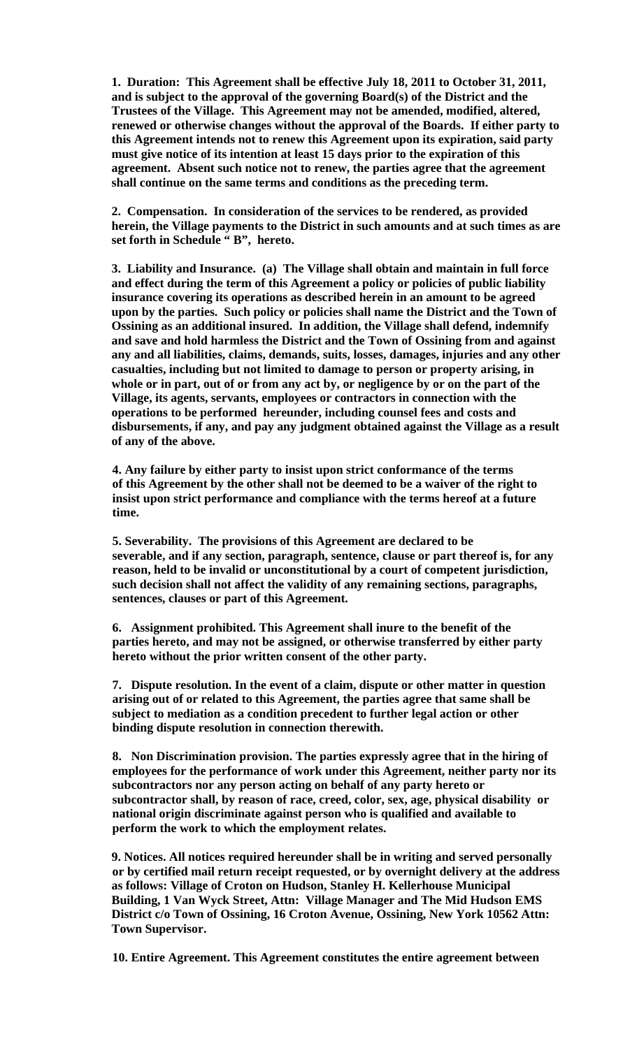**1. Duration: This Agreement shall be effective July 18, 2011 to October 31, 2011, and is subject to the approval of the governing Board(s) of the District and the Trustees of the Village. This Agreement may not be amended, modified, altered, renewed or otherwise changes without the approval of the Boards. If either party to this Agreement intends not to renew this Agreement upon its expiration, said party must give notice of its intention at least 15 days prior to the expiration of this agreement. Absent such notice not to renew, the parties agree that the agreement shall continue on the same terms and conditions as the preceding term.** 

**2. Compensation. In consideration of the services to be rendered, as provided herein, the Village payments to the District in such amounts and at such times as are**  set forth in Schedule "B", hereto.

**3. Liability and Insurance. (a) The Village shall obtain and maintain in full force and effect during the term of this Agreement a policy or policies of public liability insurance covering its operations as described herein in an amount to be agreed upon by the parties. Such policy or policies shall name the District and the Town of Ossining as an additional insured. In addition, the Village shall defend, indemnify and save and hold harmless the District and the Town of Ossining from and against any and all liabilities, claims, demands, suits, losses, damages, injuries and any other casualties, including but not limited to damage to person or property arising, in whole or in part, out of or from any act by, or negligence by or on the part of the Village, its agents, servants, employees or contractors in connection with the operations to be performed hereunder, including counsel fees and costs and disbursements, if any, and pay any judgment obtained against the Village as a result of any of the above.** 

**4. Any failure by either party to insist upon strict conformance of the terms of this Agreement by the other shall not be deemed to be a waiver of the right to insist upon strict performance and compliance with the terms hereof at a future time.** 

**5. Severability. The provisions of this Agreement are declared to be severable, and if any section, paragraph, sentence, clause or part thereof is, for any reason, held to be invalid or unconstitutional by a court of competent jurisdiction, such decision shall not affect the validity of any remaining sections, paragraphs, sentences, clauses or part of this Agreement.** 

**6. Assignment prohibited. This Agreement shall inure to the benefit of the parties hereto, and may not be assigned, or otherwise transferred by either party hereto without the prior written consent of the other party.** 

**7. Dispute resolution. In the event of a claim, dispute or other matter in question arising out of or related to this Agreement, the parties agree that same shall be subject to mediation as a condition precedent to further legal action or other binding dispute resolution in connection therewith.** 

**8. Non Discrimination provision. The parties expressly agree that in the hiring of employees for the performance of work under this Agreement, neither party nor its subcontractors nor any person acting on behalf of any party hereto or subcontractor shall, by reason of race, creed, color, sex, age, physical disability or national origin discriminate against person who is qualified and available to perform the work to which the employment relates.** 

**9. Notices. All notices required hereunder shall be in writing and served personally or by certified mail return receipt requested, or by overnight delivery at the address as follows: Village of Croton on Hudson, Stanley H. Kellerhouse Municipal Building, 1 Van Wyck Street, Attn: Village Manager and The Mid Hudson EMS District c/o Town of Ossining, 16 Croton Avenue, Ossining, New York 10562 Attn: Town Supervisor.** 

**10. Entire Agreement. This Agreement constitutes the entire agreement between**